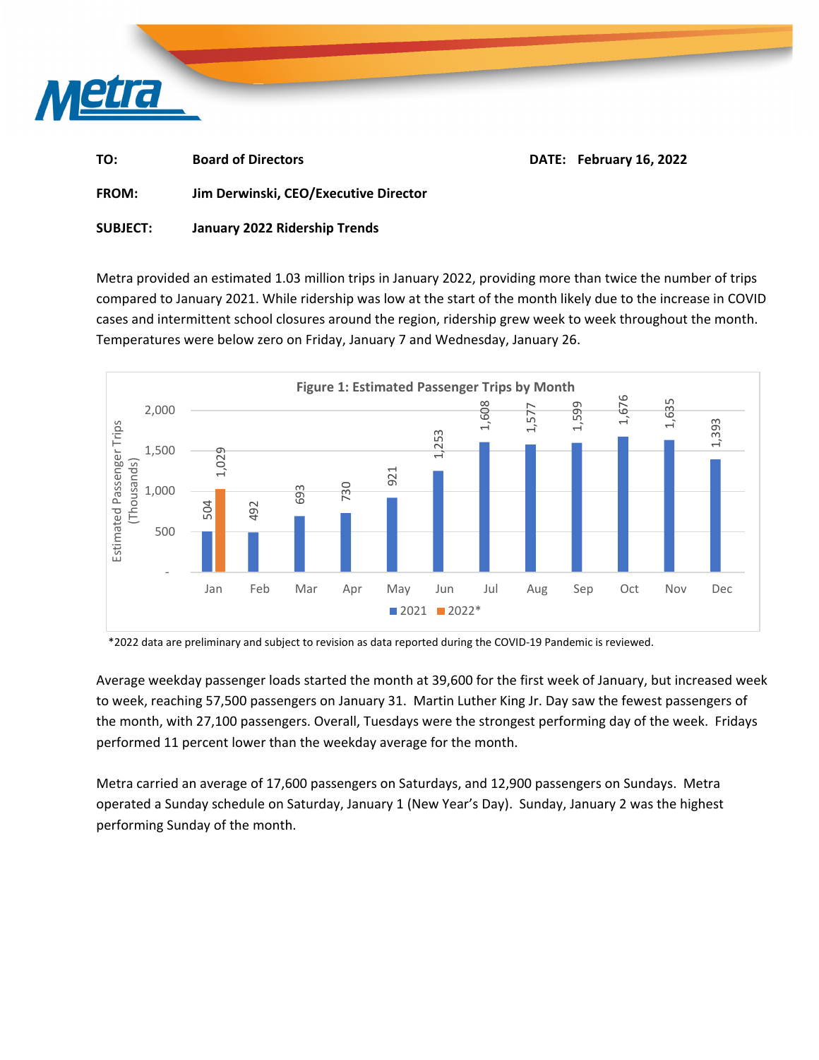

| TO: | <b>Board of Directors</b> |  | DATE: February 16, 2022 |
|-----|---------------------------|--|-------------------------|
|-----|---------------------------|--|-------------------------|

**FROM: Jim Derwinski, CEO/Executive Director**

## **SUBJECT: January 2022 Ridership Trends**

Metra provided an estimated 1.03 million trips in January 2022, providing more than twice the number of trips compared to January 2021. While ridership was low at the start of the month likely due to the increase in COVID cases and intermittent school closures around the region, ridership grew week to week throughout the month. Temperatures were below zero on Friday, January 7 and Wednesday, January 26.



\*2022 data are preliminary and subject to revision as data reported during the COVID‐19 Pandemic is reviewed.

Average weekday passenger loads started the month at 39,600 for the first week of January, but increased week to week, reaching 57,500 passengers on January 31. Martin Luther King Jr. Day saw the fewest passengers of the month, with 27,100 passengers. Overall, Tuesdays were the strongest performing day of the week. Fridays performed 11 percent lower than the weekday average for the month.

Metra carried an average of 17,600 passengers on Saturdays, and 12,900 passengers on Sundays. Metra operated a Sunday schedule on Saturday, January 1 (New Year's Day). Sunday, January 2 was the highest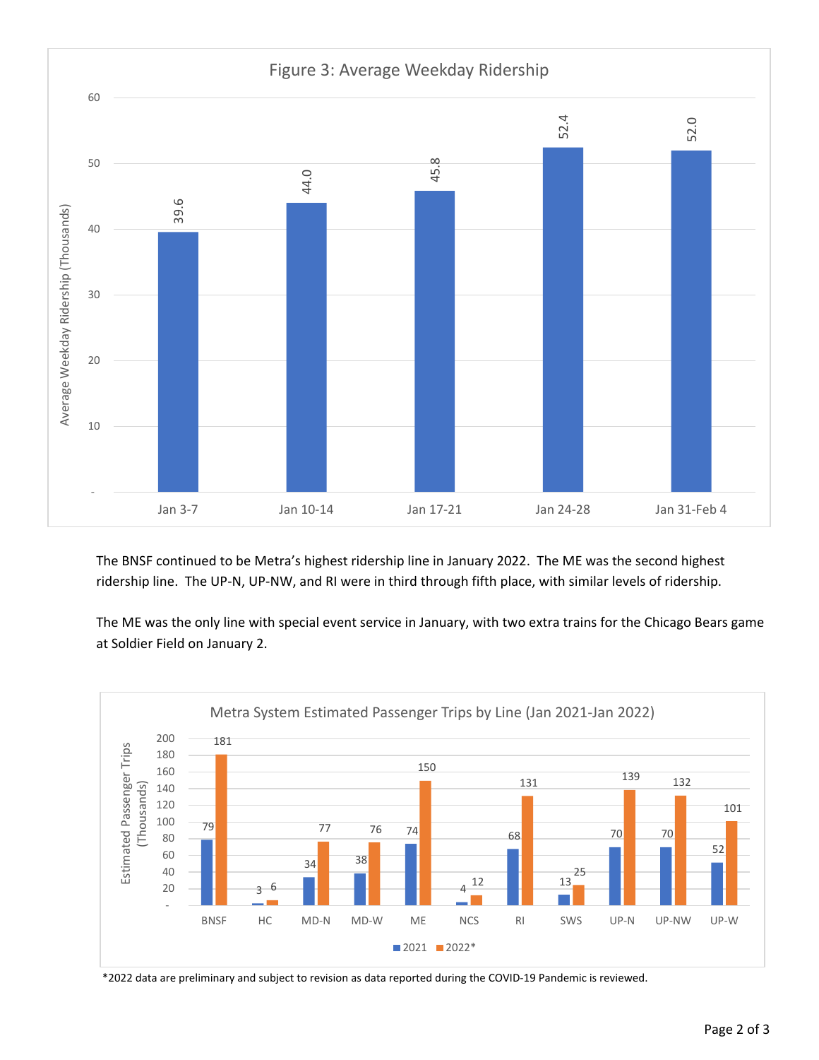

The BNSF continued to be Metra's highest ridership line in January 2022. The ME was the second highest ridership line. The UP‐N, UP‐NW, and RI were in third through fifth place, with similar levels of ridership.

The ME was the only line with special event service in January, with two extra trains for the Chicago Bears game at Soldier Field on January 2.